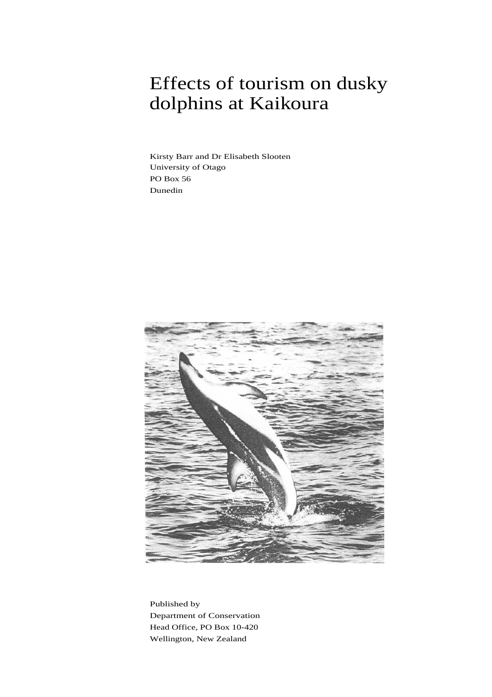## Effects of tourism on dusky dolphins at Kaikoura

Kirsty Barr and Dr Elisabeth Slooten University of Otago PO Box 56 Dunedin



Published by Department of Conservation Head Office, PO Box 10-420 Wellington, New Zealand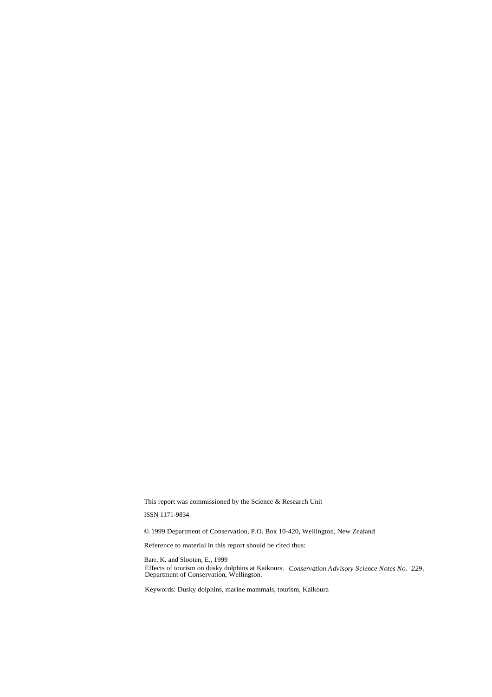This report was commissioned by the Science & Research Unit

ISSN 1171-9834

© 1999 Department of Conservation, P.O. Box 10-420, Wellington, New Zealand

Reference to material in this report should be cited thus:

Barr, K. and Slooten, E., 1999 Effects of tourism on dusky dolphins at Kaikoura. *Conservation Advisory Science Notes No. 229*, Department of Conservation, Wellington.

Keywords: Dusky dolphins, marine mammals, tourism, Kaikoura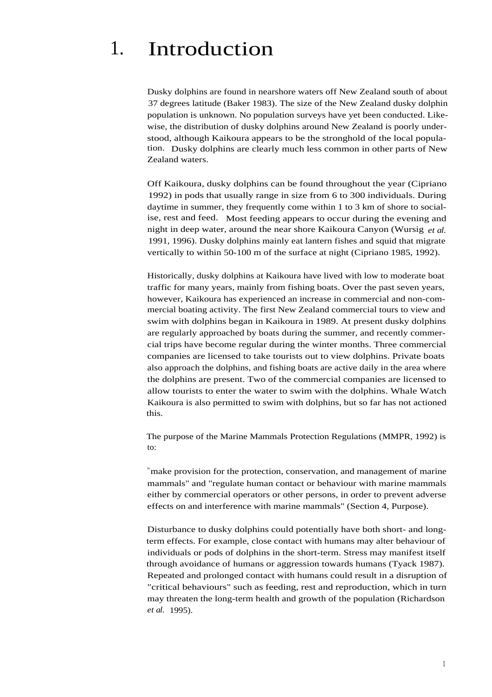## 1. Introduction

Dusky dolphins are found in nearshore waters off New Zealand south of about 37 degrees latitude (Baker 1983). The size of the New Zealand dusky dolphin population is unknown. No population surveys have yet been conducted. Likewise, the distribution of dusky dolphins around New Zealand is poorly understood, although Kaikoura appears to be the stronghold of the local population. Dusky dolphins are clearly much less common in other parts of New Zealand waters.

Off Kaikoura, dusky dolphins can be found throughout the year (Cipriano 1992) in pods that usually range in size from 6 to 300 individuals. During daytime in summer, they frequently come within 1 to 3 km of shore to socialise, rest and feed. Most feeding appears to occur during the evening and night in deep water, around the near shore Kaikoura Canyon (Wursig *et al.* 1991, 1996). Dusky dolphins mainly eat lantern fishes and squid that migrate vertically to within 50-100 m of the surface at night (Cipriano 1985, 1992).

Historically, dusky dolphins at Kaikoura have lived with low to moderate boat traffic for many years, mainly from fishing boats. Over the past seven years, however, Kaikoura has experienced an increase in commercial and non-commercial boating activity. The first New Zealand commercial tours to view and swim with dolphins began in Kaikoura in 1989. At present dusky dolphins are regularly approached by boats during the summer, and recently commercial trips have become regular during the winter months. Three commercial companies are licensed to take tourists out to view dolphins. Private boats also approach the dolphins, and fishing boats are active daily in the area where the dolphins are present. Two of the commercial companies are licensed to allow tourists to enter the water to swim with the dolphins. Whale Watch Kaikoura is also permitted to swim with dolphins, but so far has not actioned this.

The purpose of the Marine Mammals Protection Regulations (MMPR, 1992) is to:

"make provision for the protection, conservation, and management of marine mammals" and "regulate human contact or behaviour with marine mammals either by commercial operators or other persons, in order to prevent adverse effects on and interference with marine mammals" (Section 4, Purpose).

Disturbance to dusky dolphins could potentially have both short- and longterm effects. For example, close contact with humans may alter behaviour of individuals or pods of dolphins in the short-term. Stress may manifest itself through avoidance of humans or aggression towards humans (Tyack 1987). Repeated and prolonged contact with humans could result in a disruption of "critical behaviours" such as feeding, rest and reproduction, which in turn may threaten the long-term health and growth of the population (Richardson *et al.* 1995).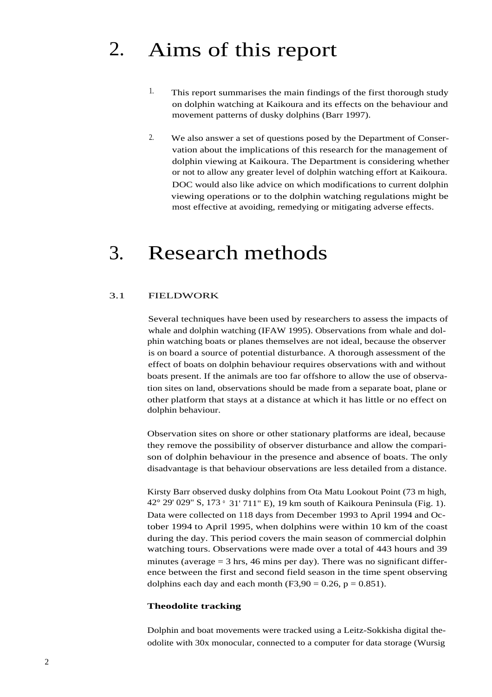## 2. Aims of this report

- $1.$  This report summarises the main findings of the first thorough study on dolphin watching at Kaikoura and its effects on the behaviour and movement patterns of dusky dolphins (Barr 1997).
- 2. We also answer a set of questions posed by the Department of Conservation about the implications of this research for the management of dolphin viewing at Kaikoura. The Department is considering whether or not to allow any greater level of dolphin watching effort at Kaikoura. DOC would also like advice on which modifications to current dolphin viewing operations or to the dolphin watching regulations might be most effective at avoiding, remedying or mitigating adverse effects.

## 3. Research methods

### 3.1 FIELDWORK

Several techniques have been used by researchers to assess the impacts of whale and dolphin watching (IFAW 1995). Observations from whale and dolphin watching boats or planes themselves are not ideal, because the observer is on board a source of potential disturbance. A thorough assessment of the effect of boats on dolphin behaviour requires observations with and without boats present. If the animals are too far offshore to allow the use of observation sites on land, observations should be made from a separate boat, plane or other platform that stays at a distance at which it has little or no effect on dolphin behaviour.

Observation sites on shore or other stationary platforms are ideal, because they remove the possibility of observer disturbance and allow the comparison of dolphin behaviour in the presence and absence of boats. The only disadvantage is that behaviour observations are less detailed from a distance.

Kirsty Barr observed dusky dolphins from Ota Matu Lookout Point (73 m high, 42° 29' 029" S, 173 ° 31' 711" E), 19 km south of Kaikoura Peninsula (Fig. 1). Data were collected on 118 days from December 1993 to April 1994 and October 1994 to April 1995, when dolphins were within 10 km of the coast during the day. This period covers the main season of commercial dolphin watching tours. Observations were made over a total of 443 hours and 39 minutes (average  $=$  3 hrs, 46 mins per day). There was no significant difference between the first and second field season in the time spent observing dolphins each day and each month  $(F3,90 = 0.26, p = 0.851)$ .

### **Theodolite tracking**

Dolphin and boat movements were tracked using a Leitz-Sokkisha digital theodolite with 30x monocular, connected to a computer for data storage (Wursig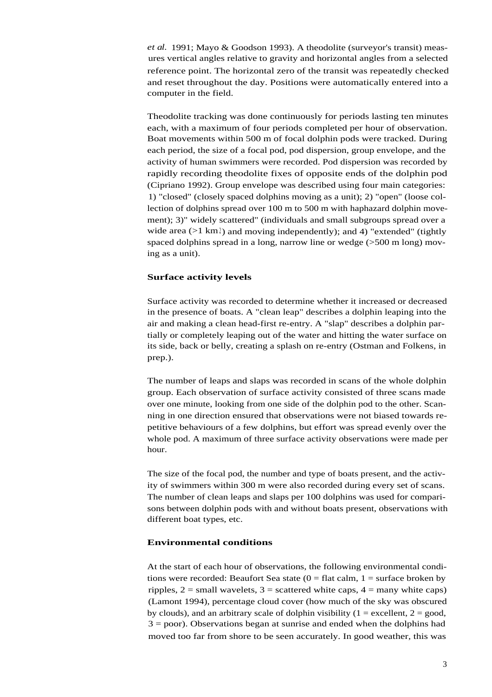*et al.* 1991; Mayo & Goodson 1993). A theodolite (surveyor's transit) measures vertical angles relative to gravity and horizontal angles from a selected reference point. The horizontal zero of the transit was repeatedly checked and reset throughout the day. Positions were automatically entered into a computer in the field.

Theodolite tracking was done continuously for periods lasting ten minutes each, with a maximum of four periods completed per hour of observation. Boat movements within 500 m of focal dolphin pods were tracked. During each period, the size of a focal pod, pod dispersion, group envelope, and the activity of human swimmers were recorded. Pod dispersion was recorded by rapidly recording theodolite fixes of opposite ends of the dolphin pod (Cipriano 1992). Group envelope was described using four main categories: 1) "closed" (closely spaced dolphins moving as a unit); 2) "open" (loose collection of dolphins spread over 100 m to 500 m with haphazard dolphin movement); 3)" widely scattered" (individuals and small subgroups spread over a wide area  $(>1 \text{ km})$  and moving independently); and 4) "extended" (tightly spaced dolphins spread in a long, narrow line or wedge (>500 m long) moving as a unit).

### **Surface activity levels**

Surface activity was recorded to determine whether it increased or decreased in the presence of boats. A "clean leap" describes a dolphin leaping into the air and making a clean head-first re-entry. A "slap" describes a dolphin partially or completely leaping out of the water and hitting the water surface on its side, back or belly, creating a splash on re-entry (Ostman and Folkens, in prep.).

The number of leaps and slaps was recorded in scans of the whole dolphin group. Each observation of surface activity consisted of three scans made over one minute, looking from one side of the dolphin pod to the other. Scanning in one direction ensured that observations were not biased towards repetitive behaviours of a few dolphins, but effort was spread evenly over the whole pod. A maximum of three surface activity observations were made per hour.

The size of the focal pod, the number and type of boats present, and the activity of swimmers within 300 m were also recorded during every set of scans. The number of clean leaps and slaps per 100 dolphins was used for comparisons between dolphin pods with and without boats present, observations with different boat types, etc.

### **Environmental conditions**

At the start of each hour of observations, the following environmental conditions were recorded: Beaufort Sea state  $(0 = \text{flat callm}, 1 = \text{surface broken by})$ ripples,  $2 = \text{small wavelets}$ ,  $3 = \text{scattered white caps}$ ,  $4 = \text{many white caps}$ (Lamont 1994), percentage cloud cover (how much of the sky was obscured by clouds), and an arbitrary scale of dolphin visibility ( $1 =$  excellent,  $2 =$  good, 3 = poor). Observations began at sunrise and ended when the dolphins had moved too far from shore to be seen accurately. In good weather, this was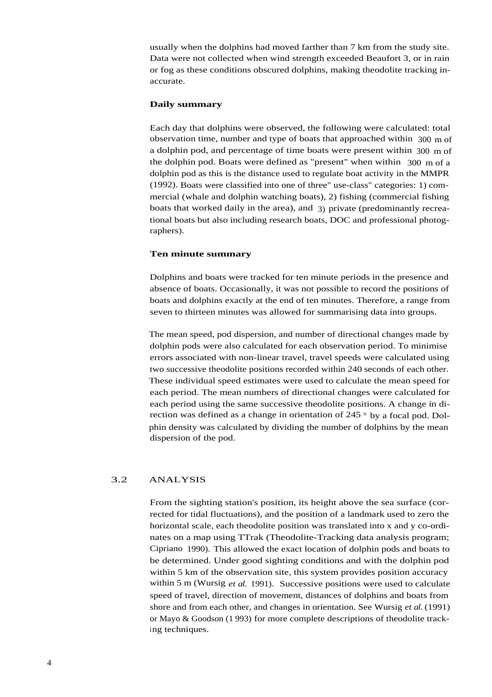usually when the dolphins had moved farther than 7 km from the study site. Data were not collected when wind strength exceeded Beaufort 3, or in rain or fog as these conditions obscured dolphins, making theodolite tracking inaccurate.

### **Daily summary**

Each day that dolphins were observed, the following were calculated: total observation time, number and type of boats that approached within 300 m of a dolphin pod, and percentage of time boats were present within 300 m of the dolphin pod. Boats were defined as "present" when within 300 m of a dolphin pod as this is the distance used to regulate boat activity in the MMPR (1992). Boats were classified into one of three" use-class" categories: 1) commercial (whale and dolphin watching boats), 2) fishing (commercial fishing boats that worked daily in the area), and 3) private (predominantly recreational boats but also including research boats, DOC and professional photographers).

### **Ten minute summary**

Dolphins and boats were tracked for ten minute periods in the presence and absence of boats. Occasionally, it was not possible to record the positions of boats and dolphins exactly at the end of ten minutes. Therefore, a range from seven to thirteen minutes was allowed for summarising data into groups.

The mean speed, pod dispersion, and number of directional changes made by dolphin pods were also calculated for each observation period. To minimise errors associated with non-linear travel, travel speeds were calculated using two successive theodolite positions recorded within 240 seconds of each other. These individual speed estimates were used to calculate the mean speed for each period. The mean numbers of directional changes were calculated for each period using the same successive theodolite positions. A change in direction was defined as a change in orientation of 245 ° by a focal pod. Dolphin density was calculated by dividing the number of dolphins by the mean dispersion of the pod.

### 3.2 ANALYSIS

From the sighting station's position, its height above the sea surface (corrected for tidal fluctuations), and the position of a landmark used to zero the horizontal scale, each theodolite position was translated into x and y co-ordinates on a map using TTrak (Theodolite-Tracking data analysis program; Cipriano 1990). This allowed the exact location of dolphin pods and boats to be determined. Under good sighting conditions and with the dolphin pod within 5 km of the observation site, this system provides position accuracy within 5 m (Wursig *et al.* 1991). Successive positions were used to calculate speed of travel, direction of movement, distances of dolphins and boats from shore and from each other, and changes in orientation. See Wursig *et al.* (1991) or Mayo & Goodson (1 993) for more complete descriptions of theodolite tracking techniques.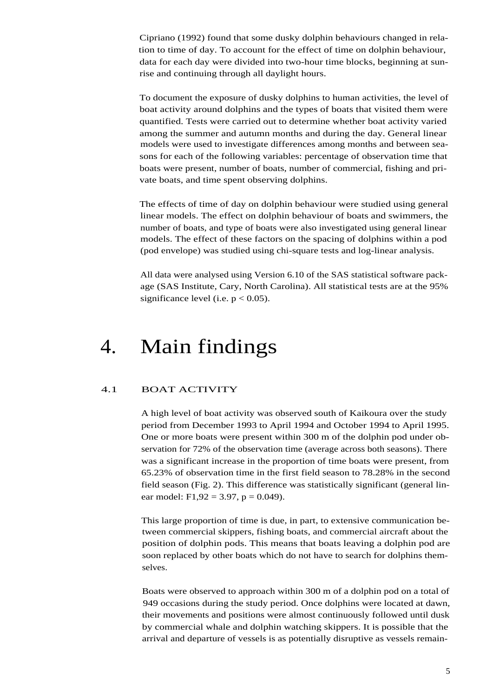Cipriano (1992) found that some dusky dolphin behaviours changed in relation to time of day. To account for the effect of time on dolphin behaviour, data for each day were divided into two-hour time blocks, beginning at sunrise and continuing through all daylight hours.

To document the exposure of dusky dolphins to human activities, the level of boat activity around dolphins and the types of boats that visited them were quantified. Tests were carried out to determine whether boat activity varied among the summer and autumn months and during the day. General linear models were used to investigate differences among months and between seasons for each of the following variables: percentage of observation time that boats were present, number of boats, number of commercial, fishing and private boats, and time spent observing dolphins.

The effects of time of day on dolphin behaviour were studied using general linear models. The effect on dolphin behaviour of boats and swimmers, the number of boats, and type of boats were also investigated using general linear models. The effect of these factors on the spacing of dolphins within a pod (pod envelope) was studied using chi-square tests and log-linear analysis.

All data were analysed using Version 6.10 of the SAS statistical software package (SAS Institute, Cary, North Carolina). All statistical tests are at the 95% significance level (i.e.  $p < 0.05$ ).

## 4. Main findings

### 4.1 BOAT ACTIVITY

A high level of boat activity was observed south of Kaikoura over the study period from December 1993 to April 1994 and October 1994 to April 1995. One or more boats were present within 300 m of the dolphin pod under observation for 72% of the observation time (average across both seasons). There was a significant increase in the proportion of time boats were present, from 65.23% of observation time in the first field season to 78.28% in the second field season (Fig. 2). This difference was statistically significant (general linear model: F1,92 = 3.97, p = 0.049).

This large proportion of time is due, in part, to extensive communication between commercial skippers, fishing boats, and commercial aircraft about the position of dolphin pods. This means that boats leaving a dolphin pod are soon replaced by other boats which do not have to search for dolphins themselves.

Boats were observed to approach within 300 m of a dolphin pod on a total of 949 occasions during the study period. Once dolphins were located at dawn, their movements and positions were almost continuously followed until dusk by commercial whale and dolphin watching skippers. It is possible that the arrival and departure of vessels is as potentially disruptive as vessels remain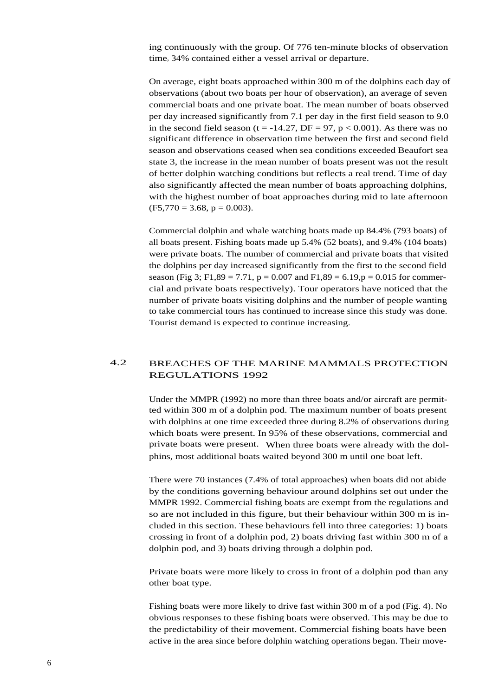ing continuously with the group. Of 776 ten-minute blocks of observation time, 34% contained either a vessel arrival or departure.

On average, eight boats approached within 300 m of the dolphins each day of observations (about two boats per hour of observation), an average of seven commercial boats and one private boat. The mean number of boats observed per day increased significantly from 7.1 per day in the first field season to 9.0 in the second field season (t = -14.27, DF = 97, p < 0.001). As there was no significant difference in observation time between the first and second field season and observations ceased when sea conditions exceeded Beaufort sea state 3, the increase in the mean number of boats present was not the result of better dolphin watching conditions but reflects a real trend. Time of day also significantly affected the mean number of boats approaching dolphins, with the highest number of boat approaches during mid to late afternoon  $(F5,770 = 3.68, p = 0.003).$ 

Commercial dolphin and whale watching boats made up 84.4% (793 boats) of all boats present. Fishing boats made up 5.4% (52 boats), and 9.4% (104 boats) were private boats. The number of commercial and private boats that visited the dolphins per day increased significantly from the first to the second field season (Fig 3; F1,89 = 7.71,  $p = 0.007$  and F1,89 = 6.19, $p = 0.015$  for commercial and private boats respectively). Tour operators have noticed that the number of private boats visiting dolphins and the number of people wanting to take commercial tours has continued to increase since this study was done. Tourist demand is expected to continue increasing.

## 4.2 BREACHES OF THE MARINE MAMMALS PROTECTION REGULATIONS 1992

Under the MMPR (1992) no more than three boats and/or aircraft are permitted within 300 m of a dolphin pod. The maximum number of boats present with dolphins at one time exceeded three during 8.2% of observations during which boats were present. In 95% of these observations, commercial and private boats were present. When three boats were already with the dolphins, most additional boats waited beyond 300 m until one boat left.

There were 70 instances (7.4% of total approaches) when boats did not abide by the conditions governing behaviour around dolphins set out under the MMPR 1992. Commercial fishing boats are exempt from the regulations and so are not included in this figure, but their behaviour within 300 m is included in this section. These behaviours fell into three categories: 1) boats crossing in front of a dolphin pod, 2) boats driving fast within 300 m of a dolphin pod, and 3) boats driving through a dolphin pod.

Private boats were more likely to cross in front of a dolphin pod than any other boat type.

Fishing boats were more likely to drive fast within 300 m of a pod (Fig. 4). No obvious responses to these fishing boats were observed. This may be due to the predictability of their movement. Commercial fishing boats have been active in the area since before dolphin watching operations began. Their move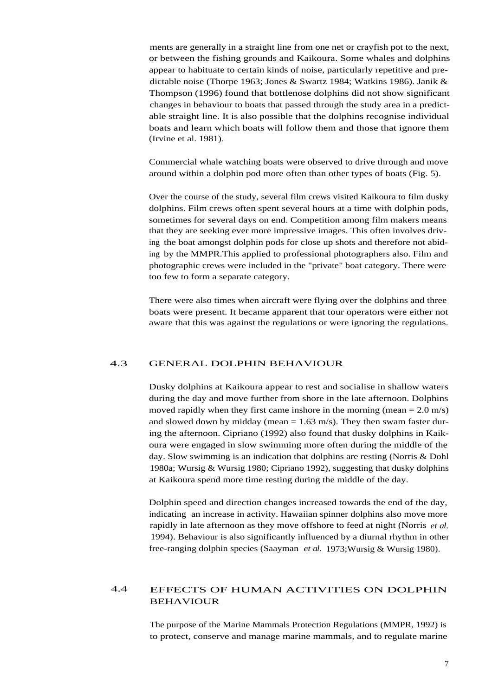ments are generally in a straight line from one net or crayfish pot to the next, or between the fishing grounds and Kaikoura. Some whales and dolphins appear to habituate to certain kinds of noise, particularly repetitive and predictable noise (Thorpe 1963; Jones & Swartz 1984; Watkins 1986). Janik & Thompson (1996) found that bottlenose dolphins did not show significant changes in behaviour to boats that passed through the study area in a predictable straight line. It is also possible that the dolphins recognise individual boats and learn which boats will follow them and those that ignore them (Irvine et al. 1981).

Commercial whale watching boats were observed to drive through and move around within a dolphin pod more often than other types of boats (Fig. 5).

Over the course of the study, several film crews visited Kaikoura to film dusky dolphins. Film crews often spent several hours at a time with dolphin pods, sometimes for several days on end. Competition among film makers means that they are seeking ever more impressive images. This often involves driving the boat amongst dolphin pods for close up shots and therefore not abiding by the MMPR.This applied to professional photographers also. Film and photographic crews were included in the "private" boat category. There were too few to form a separate category.

There were also times when aircraft were flying over the dolphins and three boats were present. It became apparent that tour operators were either not aware that this was against the regulations or were ignoring the regulations.

### 4.3 GENERAL DOLPHIN BEHAVIOUR

Dusky dolphins at Kaikoura appear to rest and socialise in shallow waters during the day and move further from shore in the late afternoon. Dolphins moved rapidly when they first came inshore in the morning (mean  $= 2.0$  m/s) and slowed down by midday (mean  $= 1.63$  m/s). They then swam faster during the afternoon. Cipriano (1992) also found that dusky dolphins in Kaikoura were engaged in slow swimming more often during the middle of the day. Slow swimming is an indication that dolphins are resting (Norris & Dohl 1980a; Wursig & Wursig 1980; Cipriano 1992), suggesting that dusky dolphins at Kaikoura spend more time resting during the middle of the day.

Dolphin speed and direction changes increased towards the end of the day, indicating an increase in activity. Hawaiian spinner dolphins also move more rapidly in late afternoon as they move offshore to feed at night (Norris *et al.* 1994). Behaviour is also significantly influenced by a diurnal rhythm in other free-ranging dolphin species (Saayman *et al.* 1973;Wursig & Wursig 1980).

## 4.4 EFFECTS OF HUMAN ACTIVITIES ON DOLPHIN BEHAVIOUR

The purpose of the Marine Mammals Protection Regulations (MMPR, 1992) is to protect, conserve and manage marine mammals, and to regulate marine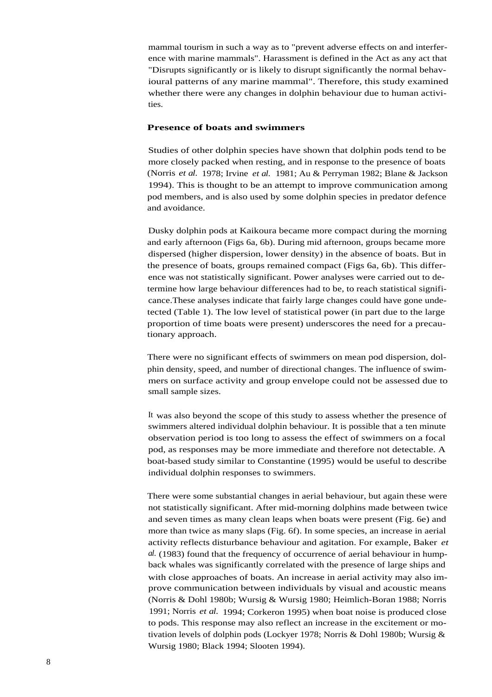mammal tourism in such a way as to "prevent adverse effects on and interference with marine mammals". Harassment is defined in the Act as any act that "Disrupts significantly or is likely to disrupt significantly the normal behavioural patterns of any marine mammal". Therefore, this study examined whether there were any changes in dolphin behaviour due to human activities.

#### **Presence of boats and swimmers**

Studies of other dolphin species have shown that dolphin pods tend to be more closely packed when resting, and in response to the presence of boats (Norris *et al.* 1978; Irvine *et al.* 1981; Au & Perryman 1982; Blane & Jackson 1994). This is thought to be an attempt to improve communication among pod members, and is also used by some dolphin species in predator defence and avoidance.

Dusky dolphin pods at Kaikoura became more compact during the morning and early afternoon (Figs 6a, 6b). During mid afternoon, groups became more dispersed (higher dispersion, lower density) in the absence of boats. But in the presence of boats, groups remained compact (Figs 6a, 6b). This difference was not statistically significant. Power analyses were carried out to determine how large behaviour differences had to be, to reach statistical significance.These analyses indicate that fairly large changes could have gone undetected (Table 1). The low level of statistical power (in part due to the large proportion of time boats were present) underscores the need for a precautionary approach.

There were no significant effects of swimmers on mean pod dispersion, dolphin density, speed, and number of directional changes. The influence of swimmers on surface activity and group envelope could not be assessed due to small sample sizes.

It was also beyond the scope of this study to assess whether the presence of swimmers altered individual dolphin behaviour. It is possible that a ten minute observation period is too long to assess the effect of swimmers on a focal pod, as responses may be more immediate and therefore not detectable. A boat-based study similar to Constantine (1995) would be useful to describe individual dolphin responses to swimmers.

There were some substantial changes in aerial behaviour, but again these were not statistically significant. After mid-morning dolphins made between twice and seven times as many clean leaps when boats were present (Fig. 6e) and more than twice as many slaps (Fig. 6f). In some species, an increase in aerial activity reflects disturbance behaviour and agitation. For example, Baker *et al.* (1983) found that the frequency of occurrence of aerial behaviour in humpback whales was significantly correlated with the presence of large ships and with close approaches of boats. An increase in aerial activity may also improve communication between individuals by visual and acoustic means (Norris & Dohl 1980b; Wursig & Wursig 1980; Heimlich-Boran 1988; Norris 1991; Norris *et al.* 1994; Corkeron 1995) when boat noise is produced close to pods. This response may also reflect an increase in the excitement or motivation levels of dolphin pods (Lockyer 1978; Norris & Dohl 1980b; Wursig & Wursig 1980; Black 1994; Slooten 1994).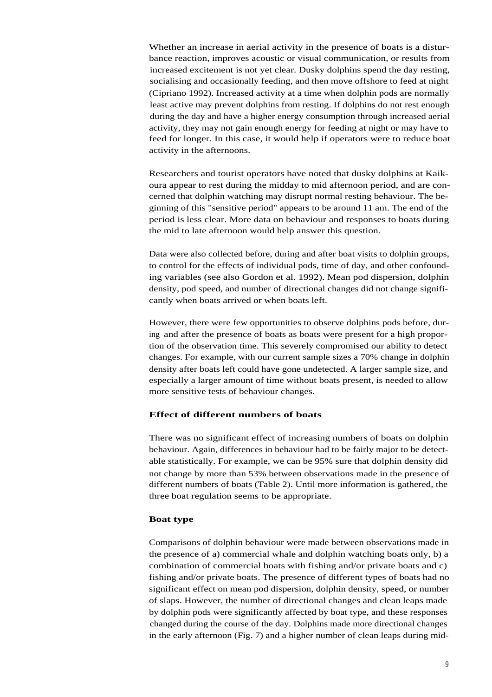Whether an increase in aerial activity in the presence of boats is a disturbance reaction, improves acoustic or visual communication, or results from increased excitement is not yet clear. Dusky dolphins spend the day resting, socialising and occasionally feeding, and then move offshore to feed at night (Cipriano 1992). Increased activity at a time when dolphin pods are normally least active may prevent dolphins from resting. If dolphins do not rest enough during the day and have a higher energy consumption through increased aerial activity, they may not gain enough energy for feeding at night or may have to feed for longer. In this case, it would help if operators were to reduce boat activity in the afternoons.

Researchers and tourist operators have noted that dusky dolphins at Kaikoura appear to rest during the midday to mid afternoon period, and are concerned that dolphin watching may disrupt normal resting behaviour. The beginning of this "sensitive period" appears to be around 11 am. The end of the period is less clear. More data on behaviour and responses to boats during the mid to late afternoon would help answer this question.

Data were also collected before, during and after boat visits to dolphin groups, to control for the effects of individual pods, time of day, and other confounding variables (see also Gordon et al. 1992). Mean pod dispersion, dolphin density, pod speed, and number of directional changes did not change significantly when boats arrived or when boats left.

However, there were few opportunities to observe dolphins pods before, during and after the presence of boats as boats were present for a high proportion of the observation time. This severely compromised our ability to detect changes. For example, with our current sample sizes a 70% change in dolphin density after boats left could have gone undetected. A larger sample size, and especially a larger amount of time without boats present, is needed to allow more sensitive tests of behaviour changes.

### **Effect of different numbers of boats**

There was no significant effect of increasing numbers of boats on dolphin behaviour. Again, differences in behaviour had to be fairly major to be detectable statistically. For example, we can be 95% sure that dolphin density did not change by more than 53% between observations made in the presence of different numbers of boats (Table 2). Until more information is gathered, the three boat regulation seems to be appropriate.

#### **Boat type**

Comparisons of dolphin behaviour were made between observations made in the presence of a) commercial whale and dolphin watching boats only, b) a combination of commercial boats with fishing and/or private boats and c) fishing and/or private boats. The presence of different types of boats had no significant effect on mean pod dispersion, dolphin density, speed, or number of slaps. However, the number of directional changes and clean leaps made by dolphin pods were significantly affected by boat type, and these responses changed during the course of the day. Dolphins made more directional changes in the early afternoon (Fig. 7) and a higher number of clean leaps during mid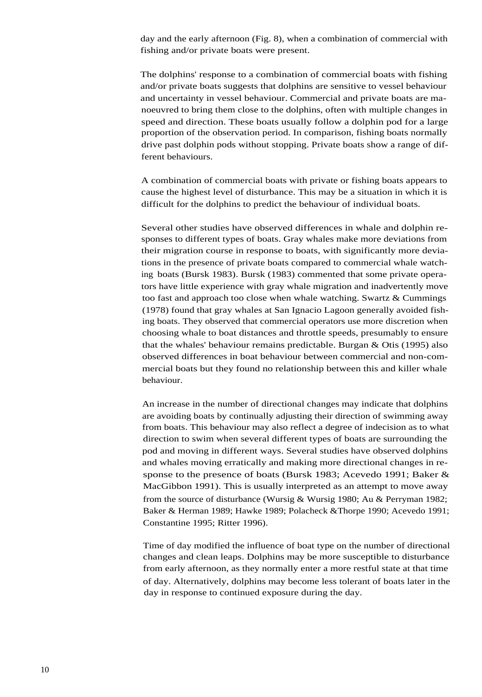day and the early afternoon (Fig. 8), when a combination of commercial with fishing and/or private boats were present.

The dolphins' response to a combination of commercial boats with fishing and/or private boats suggests that dolphins are sensitive to vessel behaviour and uncertainty in vessel behaviour. Commercial and private boats are manoeuvred to bring them close to the dolphins, often with multiple changes in speed and direction. These boats usually follow a dolphin pod for a large proportion of the observation period. In comparison, fishing boats normally drive past dolphin pods without stopping. Private boats show a range of different behaviours.

A combination of commercial boats with private or fishing boats appears to cause the highest level of disturbance. This may be a situation in which it is difficult for the dolphins to predict the behaviour of individual boats.

Several other studies have observed differences in whale and dolphin responses to different types of boats. Gray whales make more deviations from their migration course in response to boats, with significantly more deviations in the presence of private boats compared to commercial whale watching boats (Bursk 1983). Bursk (1983) commented that some private operators have little experience with gray whale migration and inadvertently move too fast and approach too close when whale watching. Swartz & Cummings (1978) found that gray whales at San Ignacio Lagoon generally avoided fishing boats. They observed that commercial operators use more discretion when choosing whale to boat distances and throttle speeds, presumably to ensure that the whales' behaviour remains predictable. Burgan & Otis (1995) also observed differences in boat behaviour between commercial and non-commercial boats but they found no relationship between this and killer whale behaviour.

An increase in the number of directional changes may indicate that dolphins are avoiding boats by continually adjusting their direction of swimming away from boats. This behaviour may also reflect a degree of indecision as to what direction to swim when several different types of boats are surrounding the pod and moving in different ways. Several studies have observed dolphins and whales moving erratically and making more directional changes in response to the presence of boats (Bursk 1983; Acevedo 1991; Baker & MacGibbon 1991). This is usually interpreted as an attempt to move away from the source of disturbance (Wursig & Wursig 1980; Au & Perryman 1982; Baker & Herman 1989; Hawke 1989; Polacheck &Thorpe 1990; Acevedo 1991; Constantine 1995; Ritter 1996).

Time of day modified the influence of boat type on the number of directional changes and clean leaps. Dolphins may be more susceptible to disturbance from early afternoon, as they normally enter a more restful state at that time of day. Alternatively, dolphins may become less tolerant of boats later in the day in response to continued exposure during the day.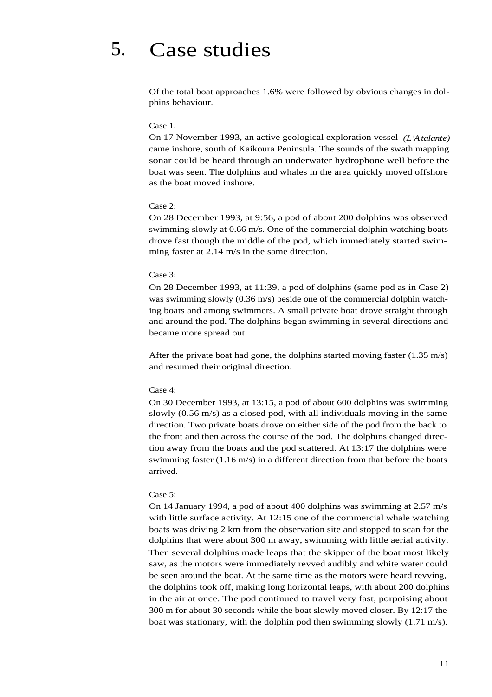## 5. Case studies

Of the total boat approaches 1.6% were followed by obvious changes in dolphins behaviour.

#### Case 1:

On 17 November 1993, an active geological exploration vessel *(L'Atalante)* came inshore, south of Kaikoura Peninsula. The sounds of the swath mapping sonar could be heard through an underwater hydrophone well before the boat was seen. The dolphins and whales in the area quickly moved offshore as the boat moved inshore.

#### Case 2:

On 28 December 1993, at 9:56, a pod of about 200 dolphins was observed swimming slowly at 0.66 m/s. One of the commercial dolphin watching boats drove fast though the middle of the pod, which immediately started swimming faster at 2.14 m/s in the same direction.

#### Case 3:

On 28 December 1993, at 11:39, a pod of dolphins (same pod as in Case 2) was swimming slowly (0.36 m/s) beside one of the commercial dolphin watching boats and among swimmers. A small private boat drove straight through and around the pod. The dolphins began swimming in several directions and became more spread out.

After the private boat had gone, the dolphins started moving faster  $(1.35 \text{ m/s})$ and resumed their original direction.

#### Case 4:

On 30 December 1993, at 13:15, a pod of about 600 dolphins was swimming slowly (0.56 m/s) as a closed pod, with all individuals moving in the same direction. Two private boats drove on either side of the pod from the back to the front and then across the course of the pod. The dolphins changed direction away from the boats and the pod scattered. At 13:17 the dolphins were swimming faster (1.16 m/s) in a different direction from that before the boats arrived.

#### Case 5:

On 14 January 1994, a pod of about 400 dolphins was swimming at 2.57 m/s with little surface activity. At 12:15 one of the commercial whale watching boats was driving 2 km from the observation site and stopped to scan for the dolphins that were about 300 m away, swimming with little aerial activity. Then several dolphins made leaps that the skipper of the boat most likely saw, as the motors were immediately revved audibly and white water could be seen around the boat. At the same time as the motors were heard revving, the dolphins took off, making long horizontal leaps, with about 200 dolphins in the air at once. The pod continued to travel very fast, porpoising about 300 m for about 30 seconds while the boat slowly moved closer. By 12:17 the boat was stationary, with the dolphin pod then swimming slowly  $(1.71 \text{ m/s})$ .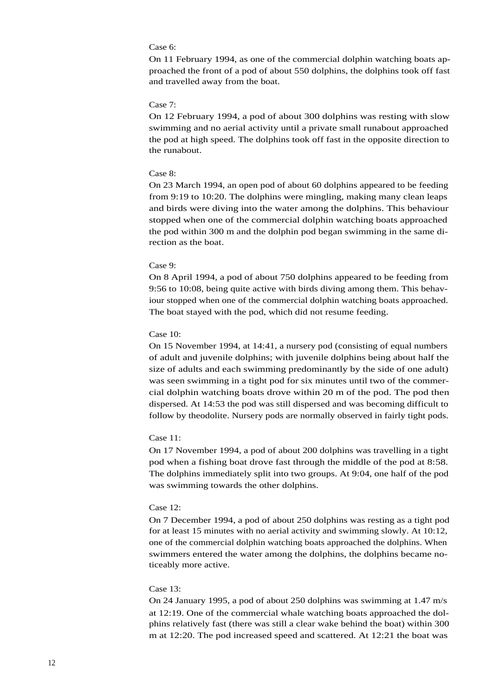#### Case 6:

On 11 February 1994, as one of the commercial dolphin watching boats approached the front of a pod of about 550 dolphins, the dolphins took off fast and travelled away from the boat.

#### Case 7:

On 12 February 1994, a pod of about 300 dolphins was resting with slow swimming and no aerial activity until a private small runabout approached the pod at high speed. The dolphins took off fast in the opposite direction to the runabout.

#### Case 8:

On 23 March 1994, an open pod of about 60 dolphins appeared to be feeding from 9:19 to 10:20. The dolphins were mingling, making many clean leaps and birds were diving into the water among the dolphins. This behaviour stopped when one of the commercial dolphin watching boats approached the pod within 300 m and the dolphin pod began swimming in the same direction as the boat.

#### Case 9:

On 8 April 1994, a pod of about 750 dolphins appeared to be feeding from 9:56 to 10:08, being quite active with birds diving among them. This behaviour stopped when one of the commercial dolphin watching boats approached. The boat stayed with the pod, which did not resume feeding.

#### Case 10:

On 15 November 1994, at 14:41, a nursery pod (consisting of equal numbers of adult and juvenile dolphins; with juvenile dolphins being about half the size of adults and each swimming predominantly by the side of one adult) was seen swimming in a tight pod for six minutes until two of the commercial dolphin watching boats drove within 20 m of the pod. The pod then dispersed. At 14:53 the pod was still dispersed and was becoming difficult to follow by theodolite. Nursery pods are normally observed in fairly tight pods.

#### Case 11:

On 17 November 1994, a pod of about 200 dolphins was travelling in a tight pod when a fishing boat drove fast through the middle of the pod at 8:58. The dolphins immediately split into two groups. At 9:04, one half of the pod was swimming towards the other dolphins.

#### Case 12:

On 7 December 1994, a pod of about 250 dolphins was resting as a tight pod for at least 15 minutes with no aerial activity and swimming slowly. At 10:12, one of the commercial dolphin watching boats approached the dolphins. When swimmers entered the water among the dolphins, the dolphins became noticeably more active.

#### Case 13:

On 24 January 1995, a pod of about 250 dolphins was swimming at 1.47 m/s at 12:19. One of the commercial whale watching boats approached the dolphins relatively fast (there was still a clear wake behind the boat) within 300 m at 12:20. The pod increased speed and scattered. At 12:21 the boat was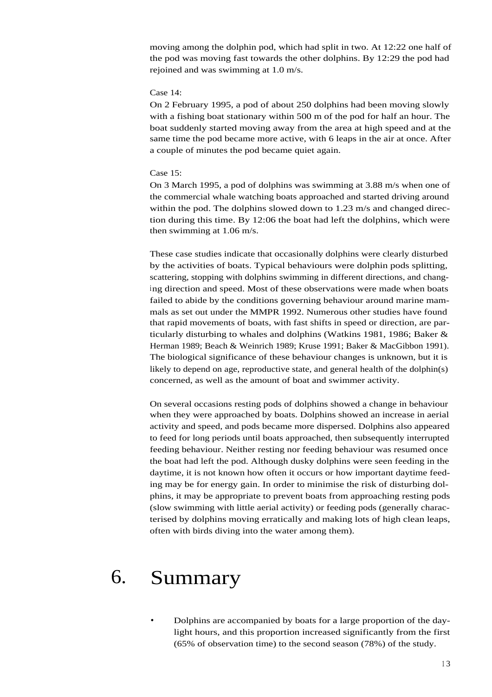moving among the dolphin pod, which had split in two. At 12:22 one half of the pod was moving fast towards the other dolphins. By 12:29 the pod had rejoined and was swimming at 1.0 m/s.

#### Case 14:

On 2 February 1995, a pod of about 250 dolphins had been moving slowly with a fishing boat stationary within 500 m of the pod for half an hour. The boat suddenly started moving away from the area at high speed and at the same time the pod became more active, with 6 leaps in the air at once. After a couple of minutes the pod became quiet again.

#### Case 15:

On 3 March 1995, a pod of dolphins was swimming at 3.88 m/s when one of the commercial whale watching boats approached and started driving around within the pod. The dolphins slowed down to 1.23 m/s and changed direction during this time. By 12:06 the boat had left the dolphins, which were then swimming at 1.06 m/s.

These case studies indicate that occasionally dolphins were clearly disturbed by the activities of boats. Typical behaviours were dolphin pods splitting, scattering, stopping with dolphins swimming in different directions, and changing direction and speed. Most of these observations were made when boats failed to abide by the conditions governing behaviour around marine mammals as set out under the MMPR 1992. Numerous other studies have found that rapid movements of boats, with fast shifts in speed or direction, are particularly disturbing to whales and dolphins (Watkins 1981, 1986; Baker & Herman 1989; Beach & Weinrich 1989; Kruse 1991; Baker & MacGibbon 1991). The biological significance of these behaviour changes is unknown, but it is likely to depend on age, reproductive state, and general health of the dolphin(s) concerned, as well as the amount of boat and swimmer activity.

On several occasions resting pods of dolphins showed a change in behaviour when they were approached by boats. Dolphins showed an increase in aerial activity and speed, and pods became more dispersed. Dolphins also appeared to feed for long periods until boats approached, then subsequently interrupted feeding behaviour. Neither resting nor feeding behaviour was resumed once the boat had left the pod. Although dusky dolphins were seen feeding in the daytime, it is not known how often it occurs or how important daytime feeding may be for energy gain. In order to minimise the risk of disturbing dolphins, it may be appropriate to prevent boats from approaching resting pods (slow swimming with little aerial activity) or feeding pods (generally characterised by dolphins moving erratically and making lots of high clean leaps, often with birds diving into the water among them).

## 6. Summary

Dolphins are accompanied by boats for a large proportion of the daylight hours, and this proportion increased significantly from the first (65% of observation time) to the second season (78%) of the study.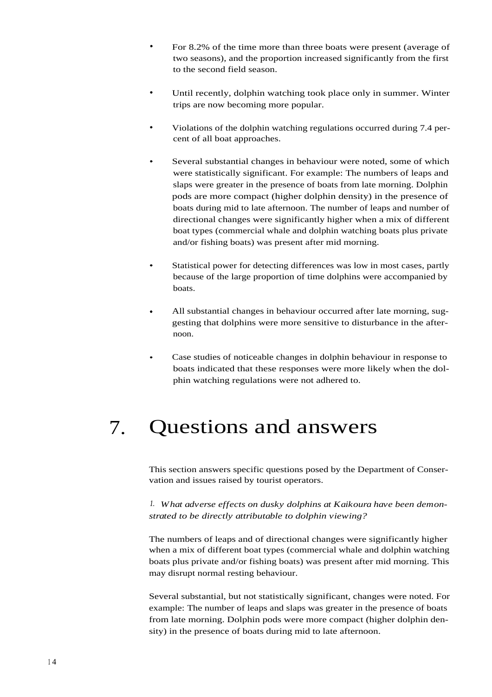- For 8.2% of the time more than three boats were present (average of two seasons), and the proportion increased significantly from the first to the second field season.
- Until recently, dolphin watching took place only in summer. Winter trips are now becoming more popular.
- Violations of the dolphin watching regulations occurred during 7.4 percent of all boat approaches.
- Several substantial changes in behaviour were noted, some of which were statistically significant. For example: The numbers of leaps and slaps were greater in the presence of boats from late morning. Dolphin pods are more compact (higher dolphin density) in the presence of boats during mid to late afternoon. The number of leaps and number of directional changes were significantly higher when a mix of different boat types (commercial whale and dolphin watching boats plus private and/or fishing boats) was present after mid morning.
- Statistical power for detecting differences was low in most cases, partly because of the large proportion of time dolphins were accompanied by boats.
- All substantial changes in behaviour occurred after late morning, suggesting that dolphins were more sensitive to disturbance in the afternoon.
- Case studies of noticeable changes in dolphin behaviour in response to boats indicated that these responses were more likely when the dolphin watching regulations were not adhered to.

## 7. Questions and answers

This section answers specific questions posed by the Department of Conservation and issues raised by tourist operators.

*1. What adverse effects on dusky dolphins at Kaikoura have been demonstrated to be directly attributable to dolphin viewing?*

The numbers of leaps and of directional changes were significantly higher when a mix of different boat types (commercial whale and dolphin watching boats plus private and/or fishing boats) was present after mid morning. This may disrupt normal resting behaviour.

Several substantial, but not statistically significant, changes were noted. For example: The number of leaps and slaps was greater in the presence of boats from late morning. Dolphin pods were more compact (higher dolphin density) in the presence of boats during mid to late afternoon.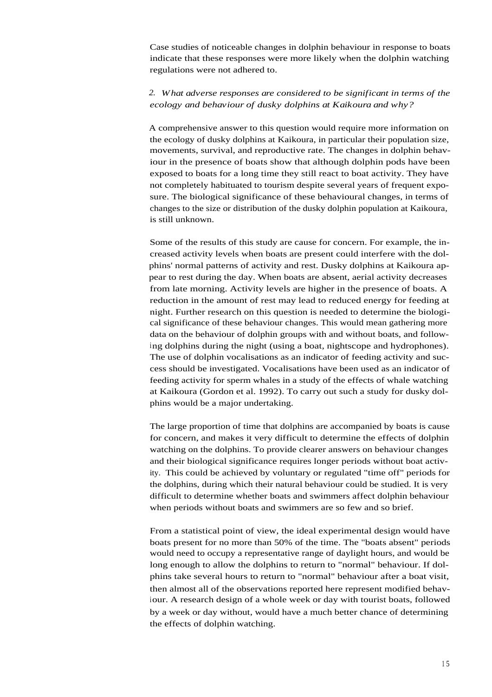Case studies of noticeable changes in dolphin behaviour in response to boats indicate that these responses were more likely when the dolphin watching regulations were not adhered to.

## *2. What adverse responses are considered to be significant in terms of the ecology and behaviour of dusky dolphins at Kaikoura and why?*

A comprehensive answer to this question would require more information on the ecology of dusky dolphins at Kaikoura, in particular their population size, movements, survival, and reproductive rate. The changes in dolphin behaviour in the presence of boats show that although dolphin pods have been exposed to boats for a long time they still react to boat activity. They have not completely habituated to tourism despite several years of frequent exposure. The biological significance of these behavioural changes, in terms of changes to the size or distribution of the dusky dolphin population at Kaikoura, is still unknown.

Some of the results of this study are cause for concern. For example, the increased activity levels when boats are present could interfere with the dolphins' normal patterns of activity and rest. Dusky dolphins at Kaikoura appear to rest during the day. When boats are absent, aerial activity decreases from late morning. Activity levels are higher in the presence of boats. A reduction in the amount of rest may lead to reduced energy for feeding at night. Further research on this question is needed to determine the biological significance of these behaviour changes. This would mean gathering more data on the behaviour of dolphin groups with and without boats, and following dolphins during the night (using a boat, nightscope and hydrophones). The use of dolphin vocalisations as an indicator of feeding activity and success should be investigated. Vocalisations have been used as an indicator of feeding activity for sperm whales in a study of the effects of whale watching at Kaikoura (Gordon et al. 1992). To carry out such a study for dusky dolphins would be a major undertaking.

The large proportion of time that dolphins are accompanied by boats is cause for concern, and makes it very difficult to determine the effects of dolphin watching on the dolphins. To provide clearer answers on behaviour changes and their biological significance requires longer periods without boat activity. This could be achieved by voluntary or regulated "time off" periods for the dolphins, during which their natural behaviour could be studied. It is very difficult to determine whether boats and swimmers affect dolphin behaviour when periods without boats and swimmers are so few and so brief.

From a statistical point of view, the ideal experimental design would have boats present for no more than 50% of the time. The "boats absent" periods would need to occupy a representative range of daylight hours, and would be long enough to allow the dolphins to return to "normal" behaviour. If dolphins take several hours to return to "normal" behaviour after a boat visit, then almost all of the observations reported here represent modified behaviour. A research design of a whole week or day with tourist boats, followed by a week or day without, would have a much better chance of determining the effects of dolphin watching.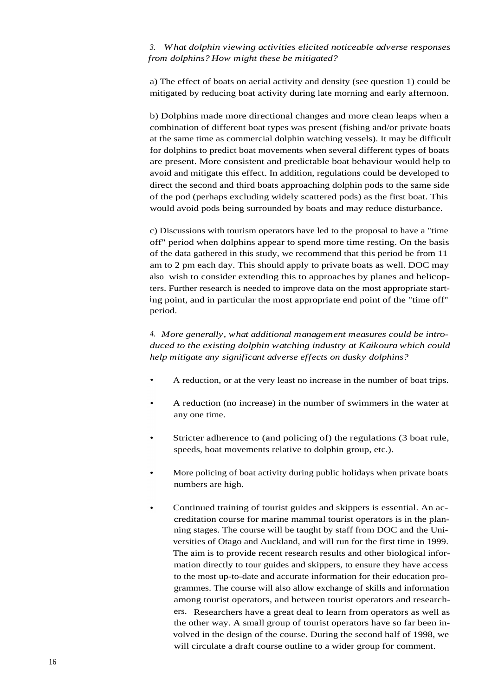*3. What dolphin viewing activities elicited noticeable adverse responses from dolphins? How might these be mitigated?*

a) The effect of boats on aerial activity and density (see question 1) could be mitigated by reducing boat activity during late morning and early afternoon.

b) Dolphins made more directional changes and more clean leaps when a combination of different boat types was present (fishing and/or private boats at the same time as commercial dolphin watching vessels). It may be difficult for dolphins to predict boat movements when several different types of boats are present. More consistent and predictable boat behaviour would help to avoid and mitigate this effect. In addition, regulations could be developed to direct the second and third boats approaching dolphin pods to the same side of the pod (perhaps excluding widely scattered pods) as the first boat. This would avoid pods being surrounded by boats and may reduce disturbance.

c) Discussions with tourism operators have led to the proposal to have a "time off" period when dolphins appear to spend more time resting. On the basis of the data gathered in this study, we recommend that this period be from 11 am to 2 pm each day. This should apply to private boats as well. DOC may also wish to consider extending this to approaches by planes and helicopters. Further research is needed to improve data on the most appropriate starting point, and in particular the most appropriate end point of the "time off" period.

*4. More generally, what additional management measures could be introduced to the existing dolphin watching industry at Kaikoura which could help mitigate any significant adverse effects on dusky dolphins?*

- A reduction, or at the very least no increase in the number of boat trips.
- A reduction (no increase) in the number of swimmers in the water at any one time.
- Stricter adherence to (and policing of) the regulations (3 boat rule, speeds, boat movements relative to dolphin group, etc.).
- More policing of boat activity during public holidays when private boats numbers are high.
- Continued training of tourist guides and skippers is essential. An ac- $\bullet$ creditation course for marine mammal tourist operators is in the planning stages. The course will be taught by staff from DOC and the Universities of Otago and Auckland, and will run for the first time in 1999. The aim is to provide recent research results and other biological information directly to tour guides and skippers, to ensure they have access to the most up-to-date and accurate information for their education programmes. The course will also allow exchange of skills and information among tourist operators, and between tourist operators and researchers. Researchers have a great deal to learn from operators as well as the other way. A small group of tourist operators have so far been involved in the design of the course. During the second half of 1998, we will circulate a draft course outline to a wider group for comment.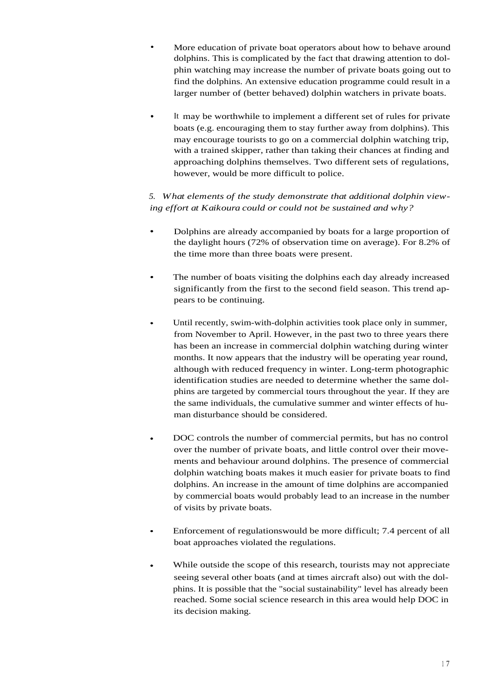- More education of private boat operators about how to behave around dolphins. This is complicated by the fact that drawing attention to dolphin watching may increase the number of private boats going out to find the dolphins. An extensive education programme could result in a larger number of (better behaved) dolphin watchers in private boats.
- It may be worthwhile to implement a different set of rules for private boats (e.g. encouraging them to stay further away from dolphins). This may encourage tourists to go on a commercial dolphin watching trip, with a trained skipper, rather than taking their chances at finding and approaching dolphins themselves. Two different sets of regulations, however, would be more difficult to police.

*5. What elements of the study demonstrate that additional dolphin viewing effort at Kaikoura could or could not be sustained and why?*

- Dolphins are already accompanied by boats for a large proportion of the daylight hours (72% of observation time on average). For 8.2% of the time more than three boats were present.
- The number of boats visiting the dolphins each day already increased significantly from the first to the second field season. This trend appears to be continuing.
- Until recently, swim-with-dolphin activities took place only in summer, from November to April. However, in the past two to three years there has been an increase in commercial dolphin watching during winter months. It now appears that the industry will be operating year round, although with reduced frequency in winter. Long-term photographic identification studies are needed to determine whether the same dolphins are targeted by commercial tours throughout the year. If they are the same individuals, the cumulative summer and winter effects of human disturbance should be considered.
- DOC controls the number of commercial permits, but has no control over the number of private boats, and little control over their movements and behaviour around dolphins. The presence of commercial dolphin watching boats makes it much easier for private boats to find dolphins. An increase in the amount of time dolphins are accompanied by commercial boats would probably lead to an increase in the number of visits by private boats.
- Enforcement of regulationswould be more difficult; 7.4 percent of all boat approaches violated the regulations.
- While outside the scope of this research, tourists may not appreciate seeing several other boats (and at times aircraft also) out with the dolphins. It is possible that the "social sustainability" level has already been reached. Some social science research in this area would help DOC in its decision making.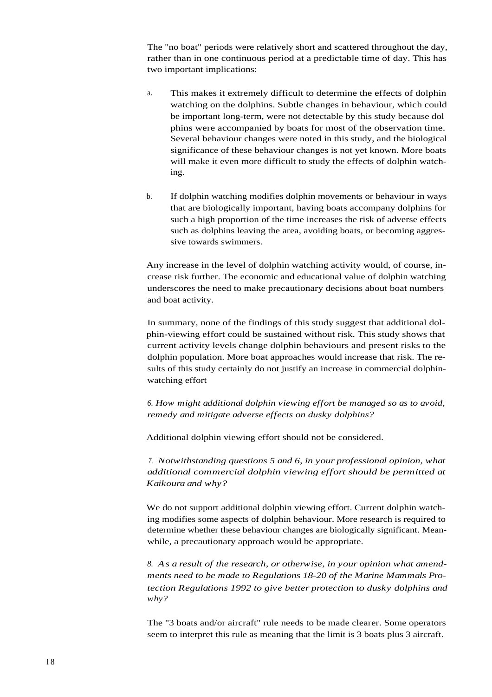The "no boat" periods were relatively short and scattered throughout the day, rather than in one continuous period at a predictable time of day. This has two important implications:

- a. This makes it extremely difficult to determine the effects of dolphin watching on the dolphins. Subtle changes in behaviour, which could be important long-term, were not detectable by this study because dol phins were accompanied by boats for most of the observation time. Several behaviour changes were noted in this study, and the biological significance of these behaviour changes is not yet known. More boats will make it even more difficult to study the effects of dolphin watching.
- b. If dolphin watching modifies dolphin movements or behaviour in ways that are biologically important, having boats accompany dolphins for such a high proportion of the time increases the risk of adverse effects such as dolphins leaving the area, avoiding boats, or becoming aggressive towards swimmers.

Any increase in the level of dolphin watching activity would, of course, increase risk further. The economic and educational value of dolphin watching underscores the need to make precautionary decisions about boat numbers and boat activity.

In summary, none of the findings of this study suggest that additional dolphin-viewing effort could be sustained without risk. This study shows that current activity levels change dolphin behaviours and present risks to the dolphin population. More boat approaches would increase that risk. The results of this study certainly do not justify an increase in commercial dolphinwatching effort

*6. How might additional dolphin viewing effort be managed so as to avoid, remedy and mitigate adverse effects on dusky dolphins?*

Additional dolphin viewing effort should not be considered.

*7. Notwithstanding questions 5 and 6, in your professional opinion, what additional commercial dolphin viewing effort should be permitted at Kaikoura and why?*

We do not support additional dolphin viewing effort. Current dolphin watching modifies some aspects of dolphin behaviour. More research is required to determine whether these behaviour changes are biologically significant. Meanwhile, a precautionary approach would be appropriate.

*8. As a result of the research, or otherwise, in your opinion what amendments need to be made to Regulations 18-20 of the Marine Mammals Protection Regulations 1992 to give better protection to dusky dolphins and why?*

The "3 boats and/or aircraft" rule needs to be made clearer. Some operators seem to interpret this rule as meaning that the limit is 3 boats plus 3 aircraft.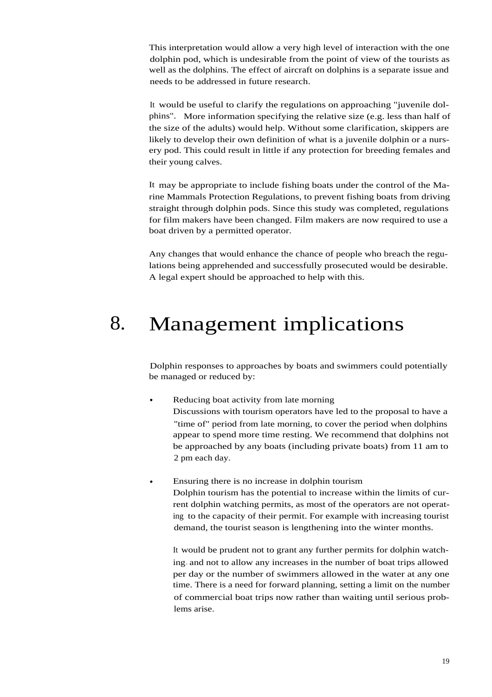This interpretation would allow a very high level of interaction with the one dolphin pod, which is undesirable from the point of view of the tourists as well as the dolphins. The effect of aircraft on dolphins is a separate issue and needs to be addressed in future research.

It would be useful to clarify the regulations on approaching "juvenile dolphins". More information specifying the relative size (e.g. less than half of the size of the adults) would help. Without some clarification, skippers are likely to develop their own definition of what is a juvenile dolphin or a nursery pod. This could result in little if any protection for breeding females and their young calves.

It may be appropriate to include fishing boats under the control of the Marine Mammals Protection Regulations, to prevent fishing boats from driving straight through dolphin pods. Since this study was completed, regulations for film makers have been changed. Film makers are now required to use a boat driven by a permitted operator.

Any changes that would enhance the chance of people who breach the regulations being apprehended and successfully prosecuted would be desirable. A legal expert should be approached to help with this.

## 8. Management implications

Dolphin responses to approaches by boats and swimmers could potentially be managed or reduced by:

- Reducing boat activity from late morning Discussions with tourism operators have led to the proposal to have a "time of" period from late morning, to cover the period when dolphins appear to spend more time resting. We recommend that dolphins not be approached by any boats (including private boats) from 11 am to 2 pm each day.
- Ensuring there is no increase in dolphin tourism Dolphin tourism has the potential to increase within the limits of current dolphin watching permits, as most of the operators are not operating to the capacity of their permit. For example with increasing tourist demand, the tourist season is lengthening into the winter months.

It would be prudent not to grant any further permits for dolphin watching, and not to allow any increases in the number of boat trips allowed per day or the number of swimmers allowed in the water at any one time. There is a need for forward planning, setting a limit on the number of commercial boat trips now rather than waiting until serious problems arise.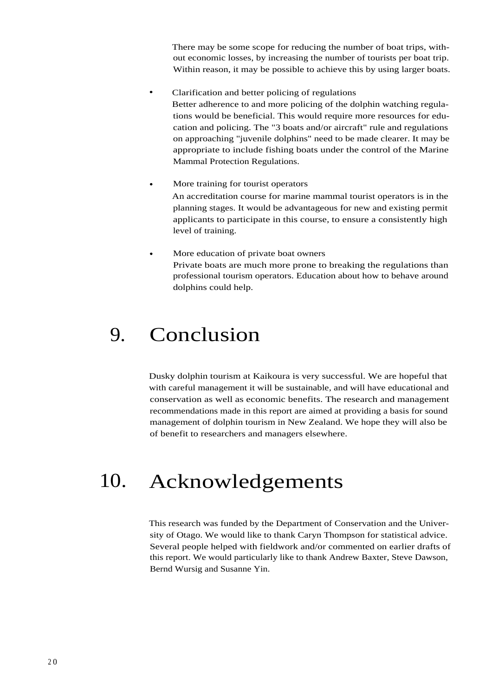There may be some scope for reducing the number of boat trips, without economic losses, by increasing the number of tourists per boat trip. Within reason, it may be possible to achieve this by using larger boats.

- Clarification and better policing of regulations Better adherence to and more policing of the dolphin watching regulations would be beneficial. This would require more resources for education and policing. The "3 boats and/or aircraft" rule and regulations on approaching "juvenile dolphins" need to be made clearer. It may be appropriate to include fishing boats under the control of the Marine Mammal Protection Regulations.
- More training for tourist operators An accreditation course for marine mammal tourist operators is in the planning stages. It would be advantageous for new and existing permit applicants to participate in this course, to ensure a consistently high level of training.
- More education of private boat owners Private boats are much more prone to breaking the regulations than professional tourism operators. Education about how to behave around dolphins could help.

## 9. Conclusion

Dusky dolphin tourism at Kaikoura is very successful. We are hopeful that with careful management it will be sustainable, and will have educational and conservation as well as economic benefits. The research and management recommendations made in this report are aimed at providing a basis for sound management of dolphin tourism in New Zealand. We hope they will also be of benefit to researchers and managers elsewhere.

## 10. Acknowledgements

This research was funded by the Department of Conservation and the University of Otago. We would like to thank Caryn Thompson for statistical advice. Several people helped with fieldwork and/or commented on earlier drafts of this report. We would particularly like to thank Andrew Baxter, Steve Dawson, Bernd Wursig and Susanne Yin.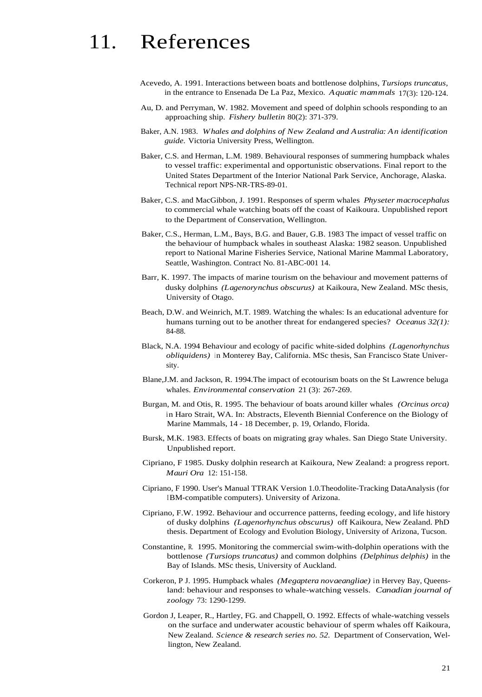# 11. References

- Acevedo, A. 1991. Interactions between boats and bottlenose dolphins, *Tursiops truncatus,* in the entrance to Ensenada De La Paz, Mexico. *Aquatic mammals* 17(3): 120-124.
- Au, D. and Perryman, W. 1982. Movement and speed of dolphin schools responding to an approaching ship. *Fishery bulletin* 80(2): 371-379.
- Baker, A.N. 1983. *Whales and dolphins of New Zealand and Australia: An identification guide.* Victoria University Press, Wellington.
- Baker, C.S. and Herman, L.M. 1989. Behavioural responses of summering humpback whales to vessel traffic: experimental and opportunistic observations. Final report to the United States Department of the Interior National Park Service, Anchorage, Alaska. Technical report NPS-NR-TRS-89-01.
- Baker, C.S. and MacGibbon, J. 1991. Responses of sperm whales *Physeter macrocephalus* to commercial whale watching boats off the coast of Kaikoura. Unpublished report to the Department of Conservation, Wellington.
- Baker, C.S., Herman, L.M., Bays, B.G. and Bauer, G.B. 1983 The impact of vessel traffic on the behaviour of humpback whales in southeast Alaska: 1982 season. Unpublished report to National Marine Fisheries Service, National Marine Mammal Laboratory, Seattle, Washington. Contract No. 81-ABC-001 14.
- Barr, K. 1997. The impacts of marine tourism on the behaviour and movement patterns of dusky dolphins *(Lagenorynchus obscurus)* at Kaikoura, New Zealand. MSc thesis, University of Otago.
- Beach, D.W. and Weinrich, M.T. 1989. Watching the whales: Is an educational adventure for humans turning out to be another threat for endangered species? *Oceanus 32(1):* 84-88.
- Black, N.A. 1994 Behaviour and ecology of pacific white-sided dolphins *(Lagenorhynchus obliquidens*) in Monterey Bay, California. MSc thesis, San Francisco State University.
- Blane,J.M. and Jackson, R. 1994.The impact of ecotourism boats on the St Lawrence beluga whales. *Environmental conservation* 21 (3): 267-269.
- Burgan, M. and Otis, R. 1995. The behaviour of boats around killer whales *(Orcinus orca)* in Haro Strait, WA. In: Abstracts, Eleventh Biennial Conference on the Biology of Marine Mammals, 14 - 18 December, p. 19, Orlando, Florida.
- Bursk, M.K. 1983. Effects of boats on migrating gray whales. San Diego State University. Unpublished report.
- Cipriano, F 1985. Dusky dolphin research at Kaikoura, New Zealand: a progress report. *Mauri Ora* 12: 151-158.
- Cipriano, F 1990. User's Manual TTRAK Version 1.0.Theodolite-Tracking DataAnalysis (for IBM-compatible computers). University of Arizona.
- Cipriano, F.W. 1992. Behaviour and occurrence patterns, feeding ecology, and life history of dusky dolphins *(Lagenorhynchus obscurus)* off Kaikoura, New Zealand. PhD thesis. Department of Ecology and Evolution Biology, University of Arizona, Tucson.
- Constantine, R. 1995. Monitoring the commercial swim-with-dolphin operations with the bottlenose *(Tursiops truncatus)* and common dolphins *(Delphinus delphis)* in the Bay of Islands. MSc thesis, University of Auckland.
- Corkeron, P J. 1995. Humpback whales *(Megaptera novaeangliae)* in Hervey Bay, Queensland: behaviour and responses to whale-watching vessels. *Canadian journal of zoology* 73: 1290-1299.
- Gordon J, Leaper, R., Hartley, FG. and Chappell, O. 1992. Effects of whale-watching vessels on the surface and underwater acoustic behaviour of sperm whales off Kaikoura, New Zealand. *Science & research series no. 52.* Department of Conservation, Wellington, New Zealand.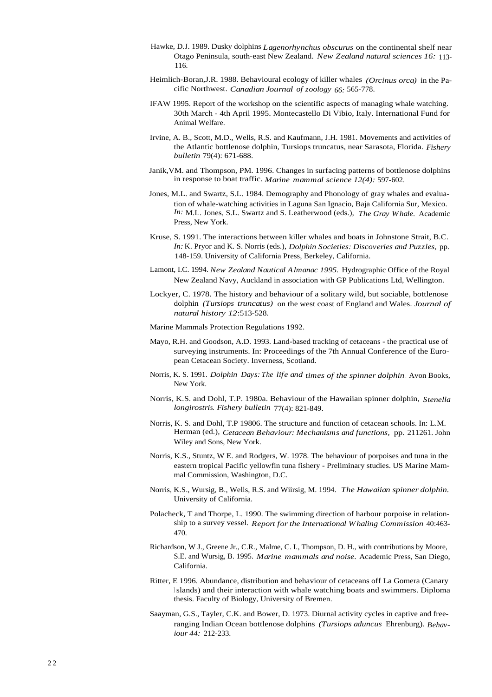- Hawke, D.J. 1989. Dusky dolphins *Lagenorhynchus obscurus* on the continental shelf near Otago Peninsula, south-east New Zealand. *New Zealand natural sciences 16:* 113- 116.
- Heimlich-Boran,J.R. 1988. Behavioural ecology of killer whales *(Orcinus orca)* in the Pacific Northwest. *Canadian Journal of zoology 66:* 565-778.
- IFAW 1995. Report of the workshop on the scientific aspects of managing whale watching. 30th March - 4th April 1995. Montecastello Di Vibio, Italy. International Fund for Animal Welfare.
- Irvine, A. B., Scott, M.D., Wells, R.S. and Kaufmann, J.H. 1981. Movements and activities of the Atlantic bottlenose dolphin, Tursiops truncatus, near Sarasota, Florida. *Fishery bulletin* 79(4): 671-688.
- Janik,VM. and Thompson, PM. 1996. Changes in surfacing patterns of bottlenose dolphins in response to boat traffic. *Marine mammal science 12(4):* 597-602.
- Jones, M.L. and Swartz, S.L. 1984. Demography and Phonology of gray whales and evaluation of whale-watching activities in Laguna San Ignacio, Baja California Sur, Mexico. *In:* M.L. Jones, S.L. Swartz and S. Leatherwood (eds.), *The Gray Whale.* Academic Press, New York.
- Kruse, S. 1991. The interactions between killer whales and boats in Johnstone Strait, B.C. *In:* K. Pryor and K. S. Norris (eds.), *Dolphin Societies: Discoveries and Puzzles,* pp. 148-159. University of California Press, Berkeley, California.
- Lamont, I.C. 1994. *New Zealand Nautical Almanac 1995.* Hydrographic Office of the Royal New Zealand Navy, Auckland in association with GP Publications Ltd, Wellington.
- Lockyer, C. 1978. The history and behaviour of a solitary wild, but sociable, bottlenose dolphin *(Tursiops truncatus)* on the west coast of England and Wales. *Journal of natural history 12*:513-528.
- Marine Mammals Protection Regulations 1992.
- Mayo, R.H. and Goodson, A.D. 1993. Land-based tracking of cetaceans the practical use of surveying instruments. In: Proceedings of the 7th Annual Conference of the European Cetacean Society. Inverness, Scotland.
- Norris, K. S. 1991. *Dolphin Days: The life and times of the spinner dolphin* . Avon Books, New York.
- Norris, K.S. and Dohl, T.P. 1980a. Behaviour of the Hawaiian spinner dolphin, *Stenella longirostri*s. *Fishery bulletin* 77(4): 821-849.
- Norris, K. S. and Dohl, T.P 19806. The structure and function of cetacean schools. In: L.M. Herman (ed.), *Cetacean Behaviour: Mechanisms and functions,* pp. 211261. John Wiley and Sons, New York.
- Norris, K.S., Stuntz, W E. and Rodgers, W. 1978. The behaviour of porpoises and tuna in the eastern tropical Pacific yellowfin tuna fishery - Preliminary studies. US Marine Mammal Commission, Washington, D.C.
- Norris, K.S., Wursig, B., Wells, R.S. and Wiirsig, M. 1994. *The Hawaiian spinner dolphin.* University of California.
- Polacheck, T and Thorpe, L. 1990. The swimming direction of harbour porpoise in relationship to a survey vessel. *Report for the International Whaling Commission* 40:463- 470.
- Richardson, W J., Greene Jr., C.R., Malme, C. I., Thompson, D. H., with contributions by Moore, S.E. and Wursig, B. 1995. *Marine mammals and noise.* Academic Press, San Diego, California.
- Ritter, E 1996. Abundance, distribution and behaviour of cetaceans off La Gomera (Canary <sup>I</sup> slands) and their interaction with whale watching boats and swimmers. Diploma thesis. Faculty of Biology, University of Bremen.
- Saayman, G.S., Tayler, C.K. and Bower, D. 1973. Diurnal activity cycles in captive and freeranging Indian Ocean bottlenose dolphins *(Tursiops aduncus* Ehrenburg). *Behaviour 44:* 212-233.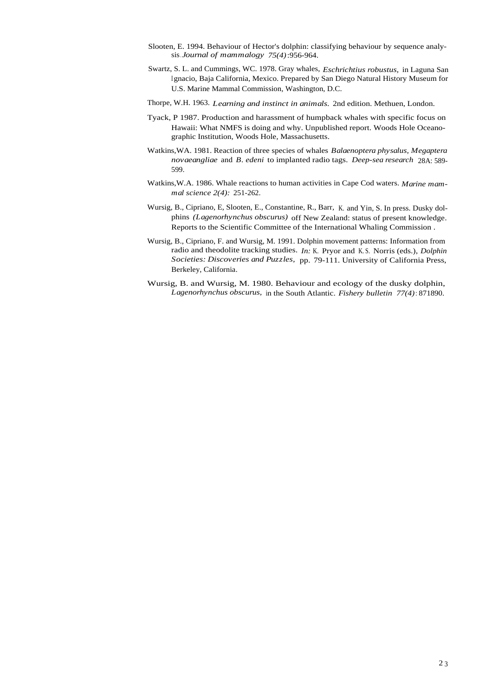- Slooten, E. 1994. Behaviour of Hector's dolphin: classifying behaviour by sequence analysis*.Journal of mammalogy 75(4)*:956-964.
- Swartz, S. L. and Cummings, WC. 1978. Gray whales, *Eschrichtius robustus,* in Laguna San <sup>I</sup> gnacio, Baja California, Mexico. Prepared by San Diego Natural History Museum for U.S. Marine Mammal Commission, Washington, D.C.
- Thorpe, W.H. 1963. *Learning and instinct in animals.* 2nd edition. Methuen, London.
- Tyack, P 1987. Production and harassment of humpback whales with specific focus on Hawaii: What NMFS is doing and why. Unpublished report. Woods Hole Oceanographic Institution, Woods Hole, Massachusetts.
- Watkins,WA. 1981. Reaction of three species of whales *Balaenoptera physalus, Megaptera novaeangliae* and *B. edeni* to implanted radio tags. *Deep-sea research* 28A: 589- 599.
- Watkins,W.A. 1986. Whale reactions to human activities in Cape Cod waters. *Marine mammal science 2(4):* 251-262.
- Wursig, B., Cipriano, E, Slooten, E., Constantine, R., Barr, K. and Yin, S. In press. Dusky dolphins *(Lagenorhynchus obscurus)* off New Zealand: status of present knowledge. Reports to the Scientific Committee of the International Whaling Commission .
- Wursig, B., Cipriano, F. and Wursig, M. 1991. Dolphin movement patterns: Information from radio and theodolite tracking studies. *In:* K. Pryor and K. S. Norris (eds.), *Dolphin Societies: Discoveries and Puzzles,* pp. 79-111. University of California Press, Berkeley, California.
- Wursig, B. and Wursig, M. 1980. Behaviour and ecology of the dusky dolphin, *Lagenorhynchus obscurus,* in the South Atlantic. *Fishery bulletin 77(4)*: 871890.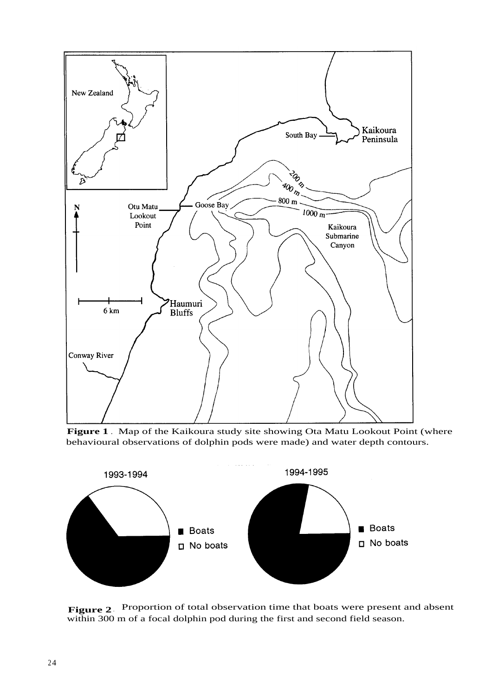

**Figure 1** . Map of the Kaikoura study site showing Ota Matu Lookout Point (where behavioural observations of dolphin pods were made) and water depth contours.



**Figure 2** . Proportion of total observation time that boats were present and absent within 300 m of a focal dolphin pod during the first and second field season.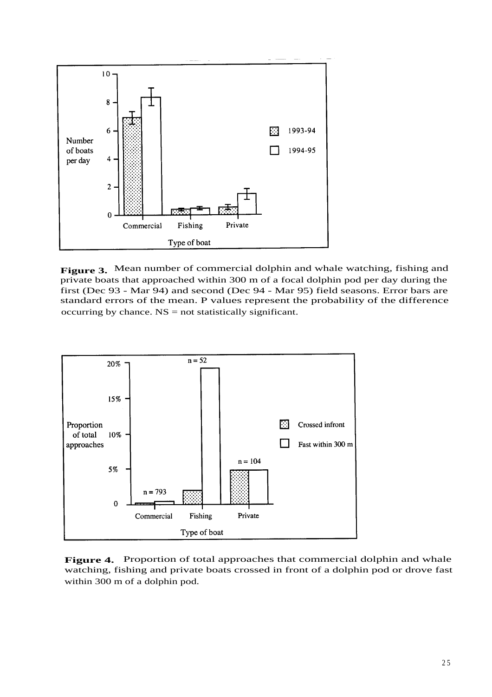

**Figure 3.** Mean number of commercial dolphin and whale watching, fishing and private boats that approached within 300 m of a focal dolphin pod per day during the first (Dec 93 - Mar 94) and second (Dec 94 - Mar 95) field seasons. Error bars are standard errors of the mean. P values represent the probability of the difference occurring by chance. NS = not statistically significant.



**Figure 4.** Proportion of total approaches that commercial dolphin and whale watching, fishing and private boats crossed in front of a dolphin pod or drove fast within 300 m of a dolphin pod.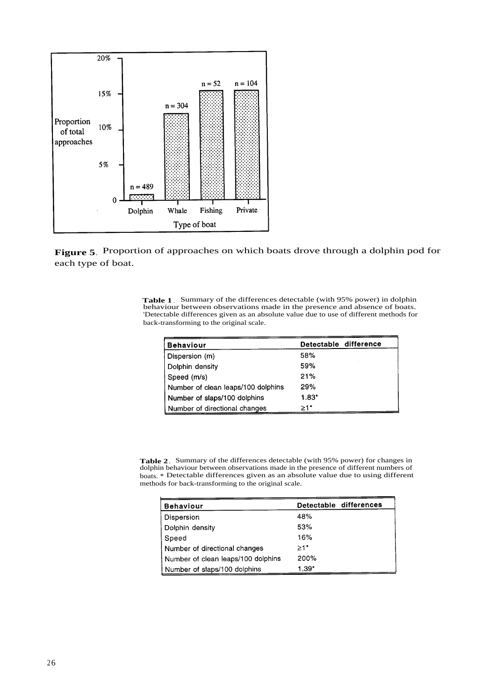

**Figure 5**. Proportion of approaches on which boats drove through a dolphin pod for each type of boat.

**Table 1** . Summary of the differences detectable (with 95% power) in dolphin behaviour between observations made in the presence and absence of boats. 'Detectable differences given as an absolute value due to use of different methods for back-transforming to the original scale.

| <b>Behaviour</b>                   | Detectable difference |
|------------------------------------|-----------------------|
| Dispersion (m)                     | 58%                   |
| Dolphin density                    | 59%                   |
| Speed (m/s)                        | 21%                   |
| Number of clean leaps/100 dolphins | 29%                   |
| Number of slaps/100 dolphins       | $1.83*$               |
| Number of directional changes      | >1*                   |

**Table 2**. Summary of the differences detectable (with 95% power) for changes in dolphin behaviour between observations made in the presence of different numbers of boats. \* Detectable differences given as an absolute value due to using different methods for back-transforming to the original scale.

| <b>Behaviour</b>                   | Detectable differences |
|------------------------------------|------------------------|
| Dispersion                         | 48%                    |
| Dolphin density                    | 53%                    |
| Speed                              | 16%                    |
| Number of directional changes      | $>1*$                  |
| Number of clean leaps/100 dolphins | 200%                   |
| Number of slaps/100 dolphins       | $1.39*$                |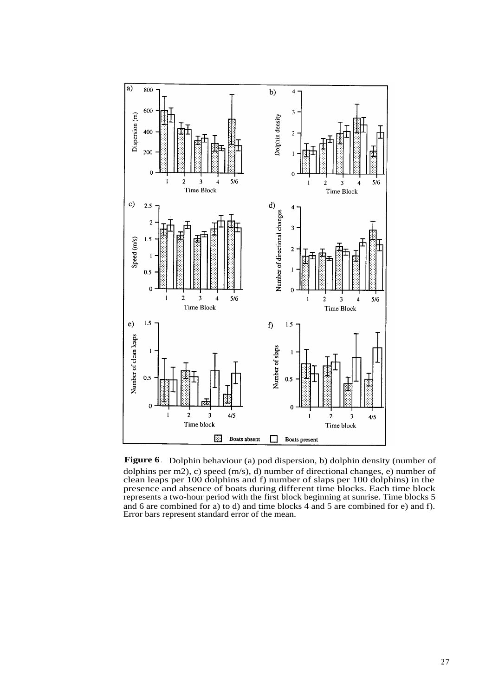

**Figure 6** . Dolphin behaviour (a) pod dispersion, b) dolphin density (number of dolphins per m2), c) speed (m/s), d) number of directional changes, e) number of clean leaps per 100 dolphins and f) number of slaps per 100 dolphins) in the presence and absence of boats during different time blocks. Each time block represents a two-hour period with the first block beginning at sunrise. Time blocks 5 and 6 are combined for a) to d) and time blocks 4 and 5 are combined for e) and f). Error bars represent standard error of the mean.